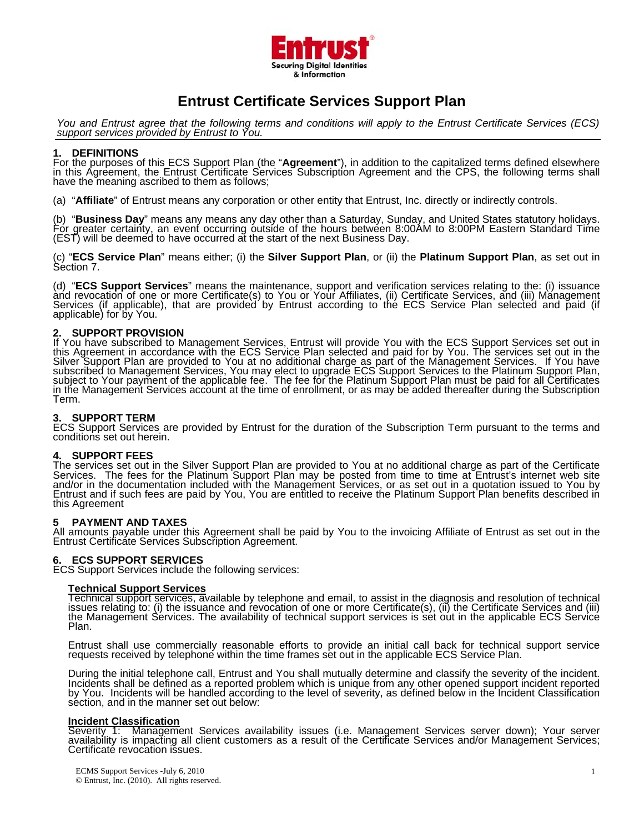

# **Entrust Certificate Services Support Plan**

*You and Entrust agree that the following terms and conditions will apply to the Entrust Certificate Services (ECS) support services provided by Entrust to You.* 

### **1. DEFINITIONS**

For the purposes of this ECS Support Plan (the "Agreement"), in addition to the capitalized terms defined elsewhere<br>in this Agreement, the Entrust Certificate Services Subscription Agreement and the CPS, the following term

(a) "**Affiliate**" of Entrust means any corporation or other entity that Entrust, Inc. directly or indirectly controls.

(b) "**Business Day**" means any means any day other than a Saturday, Sunday, and United States statutory holidays.<br>For greater certainty, an event occurring outside of the hours between 8:00AM to 8:00PM Eastern Standard Tim (EST) will be deemed to have occurred at the start of the next Business Day.

(c) "**ECS Service Plan**" means either; (i) the **Silver Support Plan**, or (ii) the **Platinum Support Plan**, as set out in Séction 7.

(d) "ECS Support Services" means the maintenance, support and verification services relating to the: (i) issuance and revocation of one or more Certificate(s) to You or Your Affiliates, (ii) Certificate Services, and (iii)

**2. SUPPORT PROVISION**<br>If You have subscribed to Management Services, Entrust will provide You with the ECS Support Services set out in<br>this Agreement in accordance with the ECS Service Plan selected and paid for by You. T Silver Support Plan are provided to You at no additional charge as part of the Management Services. If You have<br>subscribed to Management Services, You may elect to upgrade ECS Support Services to the Platinum Support Plan<br>

## **3. SUPPORT TERM**

ECS Support Services are provided by Entrust for the duration of the Subscription Term pursuant to the terms and<br>conditions set out herein.

# **4. SUPPORT FEES**

The services set out in the Silver Support Plan are provided to You at no additional charge as part of the Certificate<br>Services. The fees for the Platinum Support Plan may be posted from time to time at Entrust's internet and/or in the documentation included with the Management Services, or as set out in a quotation issued to You by<br>Entrust and if such fees are paid by You, You are entitled to receive the Platinum Support Plan benefits desc

**5 PAYMENT AND TAXES**<br>All amounts payable under this Agreement shall be paid by You to the invoicing Affiliate of Entrust as set out in the<br>Entrust Certificate Services Subscription Agreement.

## **6. ECS SUPPORT SERVICES**

ECS Support Services include the following services:

**Technical Support Services** issues relating to: (i) the issuance and revocation of one or more Certificate(s), (ii) the Certificate Services and (iii)<br>the Management Services. The availability of technical support services is set out in the applicabl

Entrust shall use commercially reasonable efforts to provide an initial call back for technical support service requests received by telephone within the time frames set out in the applicable ECS Service Plan.

During the initial telephone call, Entrust and You shall mutually determine and classify the severity of the incident.<br>Incidents shall be defined as a reported problem which is unique from any other opened support incident

## **Incident Classification**

Severity 1: Management Services availability issues (i.e. Management Services server down); Your server<br>availability is impacting all client customers as a result of the Certificate Services and/or Management Services;<br>Cer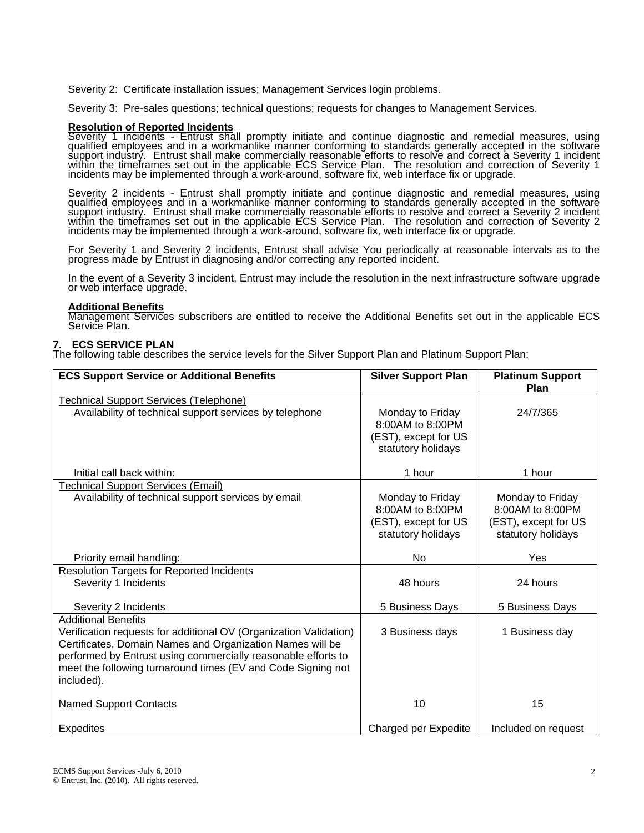Severity 2: Certificate installation issues; Management Services login problems.

Severity 3: Pre-sales questions; technical questions; requests for changes to Management Services.

# **Resolution of Reported Incidents**

Severity 1 incidents - Entrust shall promptly initiate and continue diagnostic and remedial measures, using<br>qualified employees and in a workmanlike manner conforming to standards generally accepted in the software<br>support

Severity 2 incidents - Entrust shall promptly initiate and continue diagnostic and remedial measures, using<br>qualified employees and in a workmanlike manner conforming to standards generally accepted in the software<br>support

For Severity 1 and Severity 2 incidents, Entrust shall advise You periodically at reasonable intervals as to the progress made by Entrust in diagnosing and/or correcting any reported incident.

In the event of a Severity 3 incident, Entrust may include the resolution in the next infrastructure software upgrade<br>or web interface upgrade.

#### **Additional Benefits**

Management Services subscribers are entitled to receive the Additional Benefits set out in the applicable ECS<br>Service Plan.

#### **7. ECS SERVICE PLAN**

The following table describes the service levels for the Silver Support Plan and Platinum Support Plan:

| <b>ECS Support Service or Additional Benefits</b>                                                                                                                                                                                                                                                           | <b>Silver Support Plan</b>                                                         | <b>Platinum Support</b><br>Plan                                                    |
|-------------------------------------------------------------------------------------------------------------------------------------------------------------------------------------------------------------------------------------------------------------------------------------------------------------|------------------------------------------------------------------------------------|------------------------------------------------------------------------------------|
| <b>Technical Support Services (Telephone)</b>                                                                                                                                                                                                                                                               |                                                                                    |                                                                                    |
| Availability of technical support services by telephone                                                                                                                                                                                                                                                     | Monday to Friday<br>8:00AM to 8:00PM<br>(EST), except for US<br>statutory holidays | 24/7/365                                                                           |
| Initial call back within:                                                                                                                                                                                                                                                                                   | 1 hour                                                                             | 1 hour                                                                             |
| <b>Technical Support Services (Email)</b><br>Availability of technical support services by email                                                                                                                                                                                                            | Monday to Friday<br>8:00AM to 8:00PM<br>(EST), except for US<br>statutory holidays | Monday to Friday<br>8:00AM to 8:00PM<br>(EST), except for US<br>statutory holidays |
| Priority email handling:                                                                                                                                                                                                                                                                                    | No                                                                                 | Yes                                                                                |
| <b>Resolution Targets for Reported Incidents</b><br>Severity 1 Incidents                                                                                                                                                                                                                                    | 48 hours                                                                           | 24 hours                                                                           |
| Severity 2 Incidents                                                                                                                                                                                                                                                                                        | 5 Business Days                                                                    | 5 Business Days                                                                    |
| <b>Additional Benefits</b><br>Verification requests for additional OV (Organization Validation)<br>Certificates, Domain Names and Organization Names will be<br>performed by Entrust using commercially reasonable efforts to<br>meet the following turnaround times (EV and Code Signing not<br>included). | 3 Business days                                                                    | 1 Business day                                                                     |
| <b>Named Support Contacts</b>                                                                                                                                                                                                                                                                               | 10                                                                                 | 15                                                                                 |
| <b>Expedites</b>                                                                                                                                                                                                                                                                                            | Charged per Expedite                                                               | Included on request                                                                |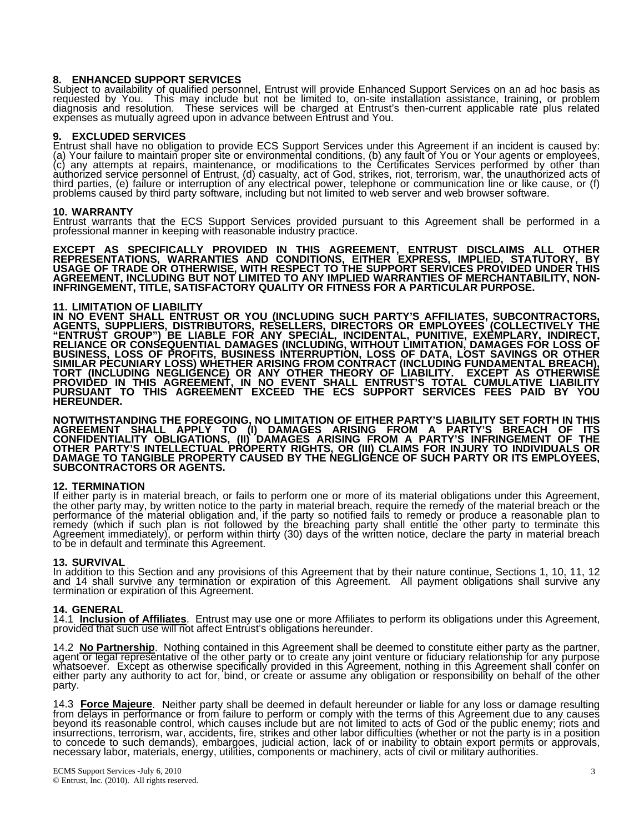# **8. ENHANCED SUPPORT SERVICES**

Subject to availability of qualified personnel, Entrust will provide Enhanced Support Services on an ad hoc basis as<br>requested by You. This may include but not be limited to, on-site installation assistance, training, or p

### **9. EXCLUDED SERVICES**

Entrust shall have no obligation to provide ECS Support Services under this Agreement if an incident is caused by:<br>(a) Your failure to maintain proper site or environmental conditions, (b) any fault of You or Your agents o third parties, (e) failure or interruption of any electrical power, telephone or communication line or like cause, or (f)<br>problems caused by third party software, including but not limited to web server and web browser sof

#### **10. WARRANTY**

Entrust warrants that the ECS Support Services provided pursuant to this Agreement shall be performed in a professional manner in keeping with reasonable industry practice.

**EXCEPT AS SPECIFICALLY PROVIDED IN THIS AGREEMENT, ENTRUST DISCLAIMS ALL OTHER**  REPRESENTATIONS, WARRANTIES AND CONDITIONS, EITHER EXPRESS, IMPLIED, STATUTORY, BY<br>USAGE OF TRADE OR OTHERWISE, WITH RESPECT TO THE SUPPORT SERVICES PROVIDED UNDER THIS **AGREEMENT, INCLUDING BUT NOT LIMITED TO ANY IMPLIED WARRANTIES OF MERCHANTABILITY, NON- INFRINGEMENT, TITLE, SATISFACTORY QUALITY OR FITNESS FOR A PARTICULAR PURPOSE.** 

# **11. LIMITATION OF LIABILITY**

IN NO EVENT SHALL ENTRUST OR YOU (INCLUDING SUCH PARTY'S AFFILIATES, SUBCONTRACTORS,<br>AGENTS, SUPPLIERS, DISTRIBUTORS, RESELLERS, DIRECTORS OR EMPLOYEES (COLLECTIVELY THE<br>"ENTRUST GROUP") BE LIABLE FOR ANY SPECIAL, INCIDENT **PROVIDED IN THIS AGREEMENT, IN NO EVENT SHALL ENTRUST'S TOTAL CUMULATIVE LIABILITY PURSUANT TO THIS AGREEMENT EXCEED THE ECS SUPPORT SERVICES FEES PAID BY YOU HEREUNDER.** 

**NOTWITHSTANDING THE FOREGOING, NO LIMITATION OF EITHER PARTY'S LIABILITY SET FORTH IN THIS AGREEMENT SHALL APPLY TO (I) DAMAGES ARISING FROM A PARTY'S BREACH OF ITS CONFIDENTIALITY OBLIGATIONS, (II) DAMAGES ARISING FROM A PARTY'S INFRINGEMENT OF THE**  OTHER PARTY'S INTELLECTUAL PRÓPERTY RIGHTS, OR (III) CLAIMS FOR INJURY TO INDIVIDUALS OR<br>DAMAGE TO TANGIBLE PROPERTY CAUSED BY THE NEGLIGENCE OF SUCH PARTY OR ITS EMPLOYEES,<br>SUBCONTRACTORS OR AGENTS.

**12. TERMINATION**<br>If either party is in material breach, or fails to perform one or more of its material obligations under this Agreement, the other party may, by written notice to the party in material breach, require the remedy of the material breach or the<br>performance of the material obligation and, if the party so notified fails to remedy or produce a rea

#### **13. SURVIVAL**

In addition to this Section and any provisions of this Agreement that by their nature continue, Sections 1, 10, 11, 12 and 14 shall survive any terminátion or expiration of this Agreement. All payment obligations shall survive any<br>termination or expiration of this Agreement.

## **14. GENERAL**

14.1 **Inclusion of Affiliates**. Entrust may use one or more Affiliates to perform its obligations under this Agreement, provided that such use will not affect Entrust's obligations hereunder.

14.2 No Partnership. Nothing contained in this Agreement shall be deemed to constitute either party as the partner, agent or legal representative of the other party or to create any joint venture or fiduciary relationship party.

14.3 Force Majeure. Neither party shall be deemed in default hereunder or liable for any loss or damage resulting<br>from delays in performance or from failure to perform or comply with the terms of this Agreement due to any